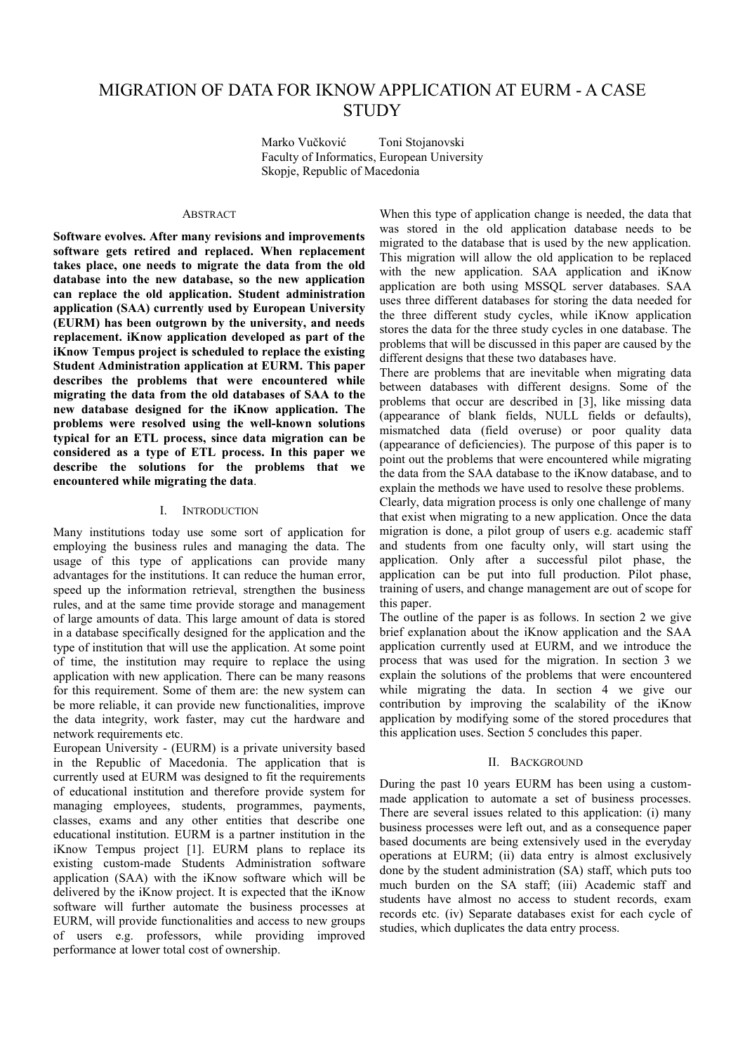# MIGRATION OF DATA FOR IKNOW APPLICATION AT EURM - A CASE **STUDY**

Marko Vučković Toni Stojanovski Faculty of Informatics, European University Skopje, Republic of Macedonia

### **ABSTRACT**

**Software evolves. After many revisions and improvements software gets retired and replaced. When replacement takes place, one needs to migrate the data from the old database into the new database, so the new application can replace the old application. Student administration application (SAA) currently used by European University (EURM) has been outgrown by the university, and needs replacement. iKnow application developed as part of the iKnow Tempus project is scheduled to replace the existing Student Administration application at EURM. This paper describes the problems that were encountered while migrating the data from the old databases of SAA to the new database designed for the iKnow application. The problems were resolved using the well-known solutions typical for an ETL process, since data migration can be considered as a type of ETL process. In this paper we describe the solutions for the problems that we encountered while migrating the data**.

#### I. INTRODUCTION

Many institutions today use some sort of application for employing the business rules and managing the data. The usage of this type of applications can provide many advantages for the institutions. It can reduce the human error, speed up the information retrieval, strengthen the business rules, and at the same time provide storage and management of large amounts of data. This large amount of data is stored in a database specifically designed for the application and the type of institution that will use the application. At some point of time, the institution may require to replace the using application with new application. There can be many reasons for this requirement. Some of them are: the new system can be more reliable, it can provide new functionalities, improve the data integrity, work faster, may cut the hardware and network requirements etc.

European University - (EURM) is a private university based in the Republic of Macedonia. The application that is currently used at EURM was designed to fit the requirements of educational institution and therefore provide system for managing employees, students, programmes, payments, classes, exams and any other entities that describe one educational institution. EURM is a partner institution in the iKnow Tempus project [\[1\].](#page-3-0) EURM plans to replace its existing custom-made Students Administration software application (SAA) with the iKnow software which will be delivered by the iKnow project. It is expected that the iKnow software will further automate the business processes at EURM, will provide functionalities and access to new groups of users e.g. professors, while providing improved performance at lower total cost of ownership.

When this type of application change is needed, the data that was stored in the old application database needs to be migrated to the database that is used by the new application. This migration will allow the old application to be replaced with the new application. SAA application and iKnow application are both using MSSQL server databases. SAA uses three different databases for storing the data needed for the three different study cycles, while iKnow application stores the data for the three study cycles in one database. The problems that will be discussed in this paper are caused by the different designs that these two databases have.

There are problems that are inevitable when migrating data between databases with different designs. Some of the problems that occur are described in [\[3\],](#page-3-1) like missing data (appearance of blank fields, NULL fields or defaults), mismatched data (field overuse) or poor quality data (appearance of deficiencies). The purpose of this paper is to point out the problems that were encountered while migrating the data from the SAA database to the iKnow database, and to explain the methods we have used to resolve these problems.

Clearly, data migration process is only one challenge of many that exist when migrating to a new application. Once the data migration is done, a pilot group of users e.g. academic staff and students from one faculty only, will start using the application. Only after a successful pilot phase, the application can be put into full production. Pilot phase, training of users, and change management are out of scope for this paper.

The outline of the paper is as follows. In section 2 we give brief explanation about the iKnow application and the SAA application currently used at EURM, and we introduce the process that was used for the migration. In section 3 we explain the solutions of the problems that were encountered while migrating the data. In section 4 we give our contribution by improving the scalability of the iKnow application by modifying some of the stored procedures that this application uses. Section 5 concludes this paper.

#### II. BACKGROUND

During the past 10 years EURM has been using a custommade application to automate a set of business processes. There are several issues related to this application: (i) many business processes were left out, and as a consequence paper based documents are being extensively used in the everyday operations at EURM; (ii) data entry is almost exclusively done by the student administration (SA) staff, which puts too much burden on the SA staff; (iii) Academic staff and students have almost no access to student records, exam records etc. (iv) Separate databases exist for each cycle of studies, which duplicates the data entry process.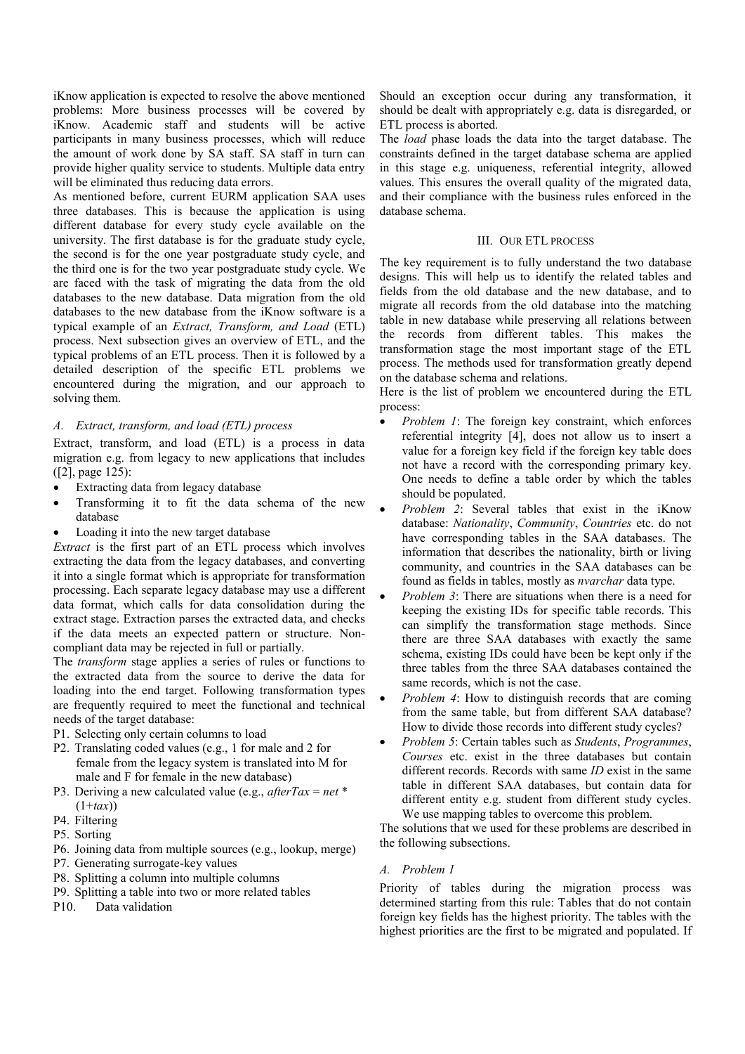iKnow application is expected to resolve the above mentioned problems: More business processes will be covered by iKnow. Academic staff and students will be active participants in many business processes, which will reduce the amount of work done by SA staff. SA staff in turn can provide higher quality service to students. Multiple data entry will be eliminated thus reducing data errors.

As mentioned before, current EURM application SAA uses three databases. This is because the application is using different database for every study cycle available on the university. The first database is for the graduate study cycle, the second is for the one year postgraduate study cycle, and the third one is for the two year postgraduate study cycle. We are faced with the task of migrating the data from the old databases to the new database. Data migration from the old databases to the new database from the iKnow software is a typical example of an *Extract, Transform, and Load* (ETL) process. Next subsection gives an overview of ETL, and the typical problems of an ETL process. Then it is followed by a detailed description of the specific ETL problems we encountered during the migration, and our approach to solving them.

#### *A. Extract, transform, and load (ETL) process*

Extract, transform, and load (ETL) is a process in data migration e.g. from legacy to new applications that includes [\(\[2\],](#page-3-2) page 125):

- Extracting data from legacy database
- Transforming it to fit the data schema of the new database
- Loading it into the new target database

*Extract* is the first part of an ETL process which involves extracting the data from the legacy databases, and converting it into a single format which is appropriate for transformation processing. Each separate legacy database may use a different data format, which calls for data consolidation during the extract stage. Extraction parses the extracted data, and checks if the data meets an expected pattern or structure. Noncompliant data may be rejected in full or partially.

The *transform* stage applies a series of rules or functions to the extracted data from the source to derive the data for loading into the end target. Following transformation types are frequently required to meet the functional and technical needs of the target database:

- P1. Selecting only certain columns to load
- P2. Translating coded values (e.g., 1 for male and 2 for female from the legacy system is translated into M for male and F for female in the new database)
- P3. Deriving a new calculated value (e.g., *afterTax* = *net* \* (1+*tax*))
- P4. Filtering
- P5. Sorting
- <span id="page-1-0"></span>P6. Joining data from multiple sources (e.g., lookup, merge)
- P7. Generating surrogate-key values
- P8. Splitting a column into multiple columns
- P9. Splitting a table into two or more related tables
- P10. Data validation

Should an exception occur during any transformation, it should be dealt with appropriately e.g. data is disregarded, or ETL process is aborted.

The *load* phase loads the data into the target database. The constraints defined in the target database schema are applied in this stage e.g. uniqueness, referential integrity, allowed values. This ensures the overall quality of the migrated data, and their compliance with the business rules enforced in the database schema.

### III. OUR ETL PROCESS

The key requirement is to fully understand the two database designs. This will help us to identify the related tables and fields from the old database and the new database, and to migrate all records from the old database into the matching table in new database while preserving all relations between the records from different tables. This makes the transformation stage the most important stage of the ETL process. The methods used for transformation greatly depend on the database schema and relations.

Here is the list of problem we encountered during the ETL process:

- *Problem 1*: The foreign key constraint, which enforces referential integrity [\[4\],](#page-3-3) does not allow us to insert a value for a foreign key field if the foreign key table does not have a record with the corresponding primary key. One needs to define a table order by which the tables should be populated.
- *Problem 2*: Several tables that exist in the iKnow database: *Nationality*, *Community*, *Countries* etc. do not have corresponding tables in the SAA databases. The information that describes the nationality, birth or living community, and countries in the SAA databases can be found as fields in tables, mostly as *nvarchar* data type.
- *Problem 3*: There are situations when there is a need for keeping the existing IDs for specific table records. This can simplify the transformation stage methods. Since there are three SAA databases with exactly the same schema, existing IDs could have been be kept only if the three tables from the three SAA databases contained the same records, which is not the case.
- *Problem 4*: How to distinguish records that are coming from the same table, but from different SAA database? How to divide those records into different study cycles?
- *Problem 5*: Certain tables such as *Students*, *Programmes*, *Courses* etc. exist in the three databases but contain different records. Records with same *ID* exist in the same table in different SAA databases, but contain data for different entity e.g. student from different study cycles. We use mapping tables to overcome this problem.

The solutions that we used for these problems are described in the following subsections.

### *A. Problem 1*

Priority of tables during the migration process was determined starting from this rule: Tables that do not contain foreign key fields has the highest priority. The tables with the highest priorities are the first to be migrated and populated. If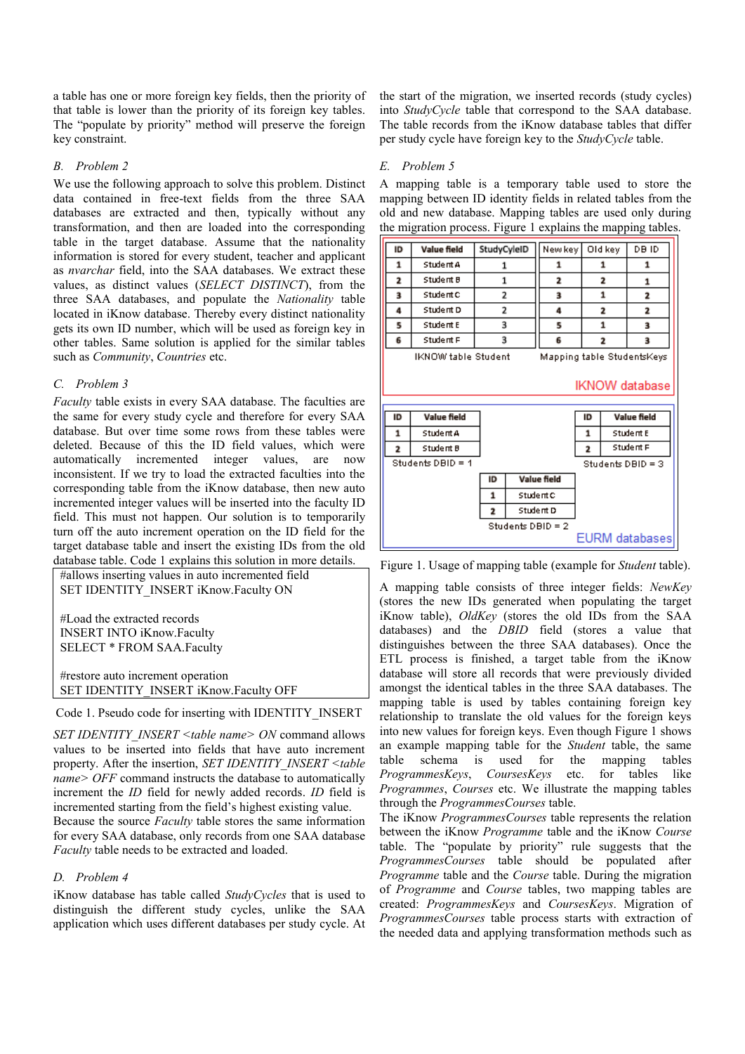a table has one or more foreign key fields, then the priority of that table is lower than the priority of its foreign key tables. The "populate by priority" method will preserve the foreign key constraint.

## *B. Problem 2*

We use the following approach to solve this problem. Distinct data contained in free-text fields from the three SAA databases are extracted and then, typically without any transformation, and then are loaded into the corresponding table in the target database. Assume that the nationality information is stored for every student, teacher and applicant as *nvarchar* field, into the SAA databases. We extract these values, as distinct values (*SELECT DISTINCT*), from the three SAA databases, and populate the *Nationality* table located in iKnow database. Thereby every distinct nationality gets its own ID number, which will be used as foreign key in other tables. Same solution is applied for the similar tables such as *Community*, *Countries* etc.

### *C. Problem 3*

*Faculty* table exists in every SAA database. The faculties are the same for every study cycle and therefore for every SAA database. But over time some rows from these tables were deleted. Because of this the ID field values, which were automatically incremented integer values, are now inconsistent. If we try to load the extracted faculties into the corresponding table from the iKnow database, then new auto incremented integer values will be inserted into the faculty ID field. This must not happen. Our solution is to temporarily turn off the auto increment operation on the ID field for the target database table and insert the existing IDs from the old database table. Code 1 explains this solution in more details.

| #allows inserting values in auto incremented field     |
|--------------------------------------------------------|
| SET IDENTITY INSERT iKnow.Faculty ON                   |
|                                                        |
| #Load the extracted records                            |
| <b>INSERT INTO iKnow.Faculty</b>                       |
| <b>SELECT * FROM SAA.Faculty</b>                       |
|                                                        |
| #restore auto increment operation                      |
| SET IDENTITY INSERT iKnow.Faculty OFF                  |
|                                                        |
| Code 1. Pseudo code for inserting with IDENTITY INSERT |

*SET IDENTITY\_INSERT <table name> ON* command allows values to be inserted into fields that have auto increment property. After the insertion, *SET IDENTITY\_INSERT <table name> OFF* command instructs the database to automatically increment the *ID* field for newly added records. *ID* field is incremented starting from the field's highest existing value.

Because the source *Faculty* table stores the same information for every SAA database, only records from one SAA database *Faculty* table needs to be extracted and loaded.

# *D. Problem 4*

iKnow database has table called *StudyCycles* that is used to distinguish the different study cycles, unlike the SAA application which uses different databases per study cycle. At the start of the migration, we inserted records (study cycles) into *StudyCycle* table that correspond to the SAA database. The table records from the iKnow database tables that differ per study cycle have foreign key to the *StudyCycle* table.

### *E. Problem 5*

A mapping table is a temporary table used to store the mapping between ID identity fields in related tables from the old and new database. Mapping tables are used only during the migration process. [Figure](#page-2-0) 1 explains the mapping tables.

| ID                  | <b>Value field</b> | StudyCyleID | New key                    | Old key | DB ID |  |
|---------------------|--------------------|-------------|----------------------------|---------|-------|--|
| 1                   | <b>Student A</b>   |             |                            |         |       |  |
| 2                   | Student B          |             |                            |         |       |  |
| 3                   | StudentC           |             |                            |         |       |  |
|                     | Student D          |             |                            |         |       |  |
| 5                   | Student E          | з           | 5                          |         |       |  |
| 6                   | Student F          |             |                            |         |       |  |
| IKNOW table Student |                    |             | Mapping table StudentsKeys |         |       |  |
| IKNOW database      |                    |             |                            |         |       |  |



<span id="page-2-0"></span>Figure 1. Usage of mapping table (example for *Student* table).

A mapping table consists of three integer fields: *NewKey* (stores the new IDs generated when populating the target iKnow table), *OldKey* (stores the old IDs from the SAA databases) and the *DBID* field (stores a value that distinguishes between the three SAA databases). Once the ETL process is finished, a target table from the iKnow database will store all records that were previously divided amongst the identical tables in the three SAA databases. The mapping table is used by tables containing foreign key relationship to translate the old values for the foreign keys into new values for foreign keys. Even though [Figure](#page-2-0) 1 shows an example mapping table for the *Student* table, the same table schema is used for the mapping tables *ProgrammesKeys*, *CoursesKeys* etc. for tables like *Programmes*, *Courses* etc. We illustrate the mapping tables through the *ProgrammesCourses* table.

The iKnow *ProgrammesCourses* table represents the relation between the iKnow *Programme* table and the iKnow *Course* table. The "populate by priority" rule suggests that the *ProgrammesCourses* table should be populated after *Programme* table and the *Course* table. During the migration of *Programme* and *Course* tables, two mapping tables are created: *ProgrammesKeys* and *CoursesKeys*. Migration of *ProgrammesCourses* table process starts with extraction of the needed data and applying transformation methods such as